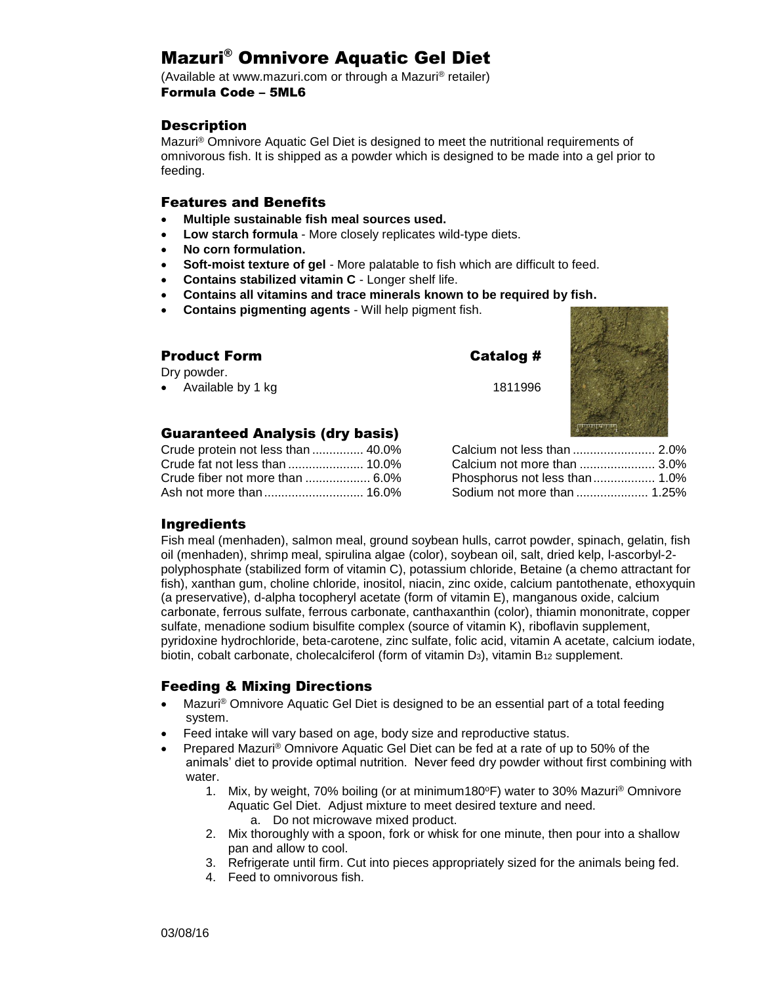# Mazuri® Omnivore Aquatic Gel Diet

(Available at www.mazuri.com or through a Mazuri® retailer) Formula Code – 5ML6

## **Description**

Mazuri® Omnivore Aquatic Gel Diet is designed to meet the nutritional requirements of omnivorous fish. It is shipped as a powder which is designed to be made into a gel prior to feeding.

## Features and Benefits

- **Multiple sustainable fish meal sources used.**
- **Low starch formula** More closely replicates wild-type diets.
- **No corn formulation.**
- **Soft-moist texture of gel** More palatable to fish which are difficult to feed.
- **Contains stabilized vitamin C** Longer shelf life.
- **Contains all vitamins and trace minerals known to be required by fish.**
- **Contains pigmenting agents** Will help pigment fish.

| <b>Product Form</b>             | Catalog #             |  |
|---------------------------------|-----------------------|--|
| Dry powder.                     |                       |  |
| • Available by 1 kg             | 1811996               |  |
| Guaranteed Analysis (dry basis) |                       |  |
| Crude protein not less than     | Calcium not lace than |  |

| Crude protein not less than  40.0% |  |
|------------------------------------|--|
|                                    |  |
| Crude fiber not more than  6.0%    |  |
|                                    |  |

| Calcium not less than  2.0%   |  |
|-------------------------------|--|
| Calcium not more than  3.0%   |  |
| Phosphorus not less than 1.0% |  |
| Sodium not more than  1.25%   |  |
|                               |  |

## Ingredients

Fish meal (menhaden), salmon meal, ground soybean hulls, carrot powder, spinach, gelatin, fish oil (menhaden), shrimp meal, spirulina algae (color), soybean oil, salt, dried kelp, l-ascorbyl-2 polyphosphate (stabilized form of vitamin C), potassium chloride, Betaine (a chemo attractant for fish), xanthan gum, choline chloride, inositol, niacin, zinc oxide, calcium pantothenate, ethoxyquin (a preservative), d-alpha tocopheryl acetate (form of vitamin E), manganous oxide, calcium carbonate, ferrous sulfate, ferrous carbonate, canthaxanthin (color), thiamin mononitrate, copper sulfate, menadione sodium bisulfite complex (source of vitamin K), riboflavin supplement, pyridoxine hydrochloride, beta-carotene, zinc sulfate, folic acid, vitamin A acetate, calcium iodate, biotin, cobalt carbonate, cholecalciferol (form of vitamin  $D_3$ ), vitamin  $B_{12}$  supplement.

# Feeding & Mixing Directions

- Mazuri<sup>®</sup> Omnivore Aquatic Gel Diet is designed to be an essential part of a total feeding system.
- Feed intake will vary based on age, body size and reproductive status.
- Prepared Mazuri® Omnivore Aquatic Gel Diet can be fed at a rate of up to 50% of the animals' diet to provide optimal nutrition. Never feed dry powder without first combining with water.
	- 1. Mix, by weight, 70% boiling (or at minimum180°F) water to 30% Mazuri<sup>®</sup> Omnivore Aquatic Gel Diet. Adjust mixture to meet desired texture and need.
		- a. Do not microwave mixed product.
	- 2. Mix thoroughly with a spoon, fork or whisk for one minute, then pour into a shallow pan and allow to cool.
	- 3. Refrigerate until firm. Cut into pieces appropriately sized for the animals being fed.
	- 4. Feed to omnivorous fish.